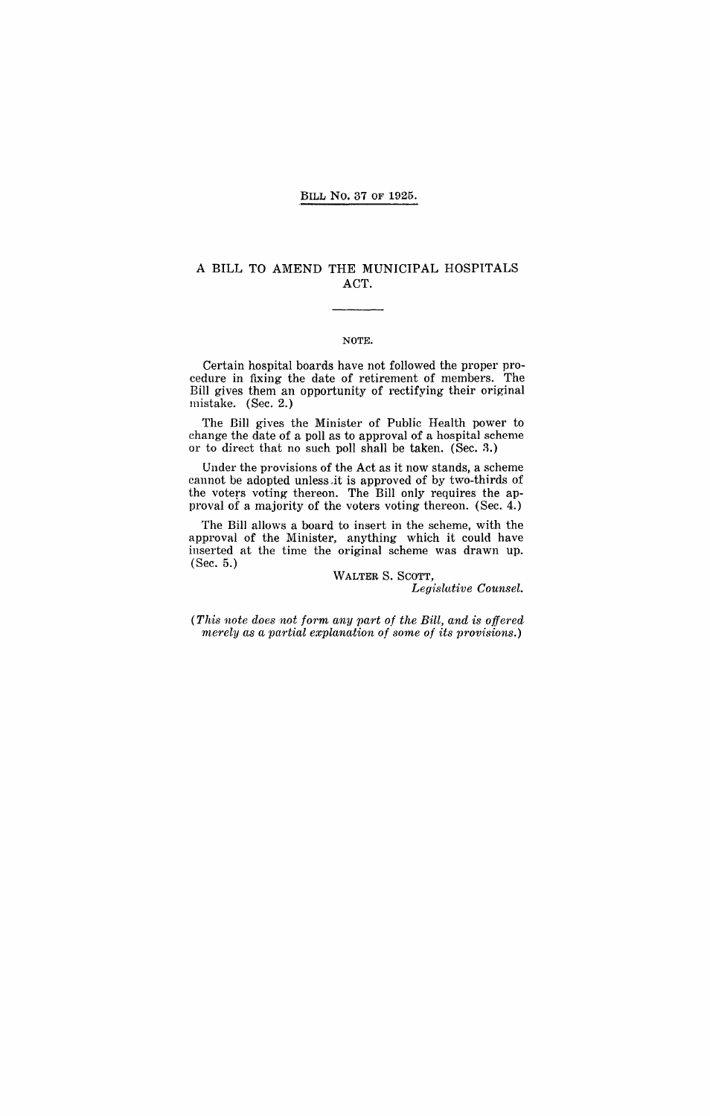#### BILL No. 37 OF 1925.

### A BILL TO AMEND THE MUNICIPAL HOSPITALS ACT.

#### NOTE.

Certain hospital boards have not followed the proper procedure in fixing the date of retirement of members. The Bill gives them an opportunity of rectifying their original mistake. (Sec. 2.)

The Bill gives the Minister of Public Health power to change the date of a poll as to approval of a hospital scheme or to direct that no such poll shall be taken. (Sec. 3.)

Under the provisions of the Act as it now stands, a scheme cannot be adopted unless.it is approved of by two-thirds of the voters voting thereon. The Bill only requires the approval of a majority of the voters voting thereon. (Sec. 4.)

The BilI allows a board to insert in the scheme, with the approval of the Minister, anything which it could have inserted at the time the original scheme was drawn up. (Sec. 5.)

> WALTER S. SCOTT, *Leg1:slutive Counsel.*

*(This note does not form any part of the Bill, and is offered merely as a partial explanation of some of its provisions.)*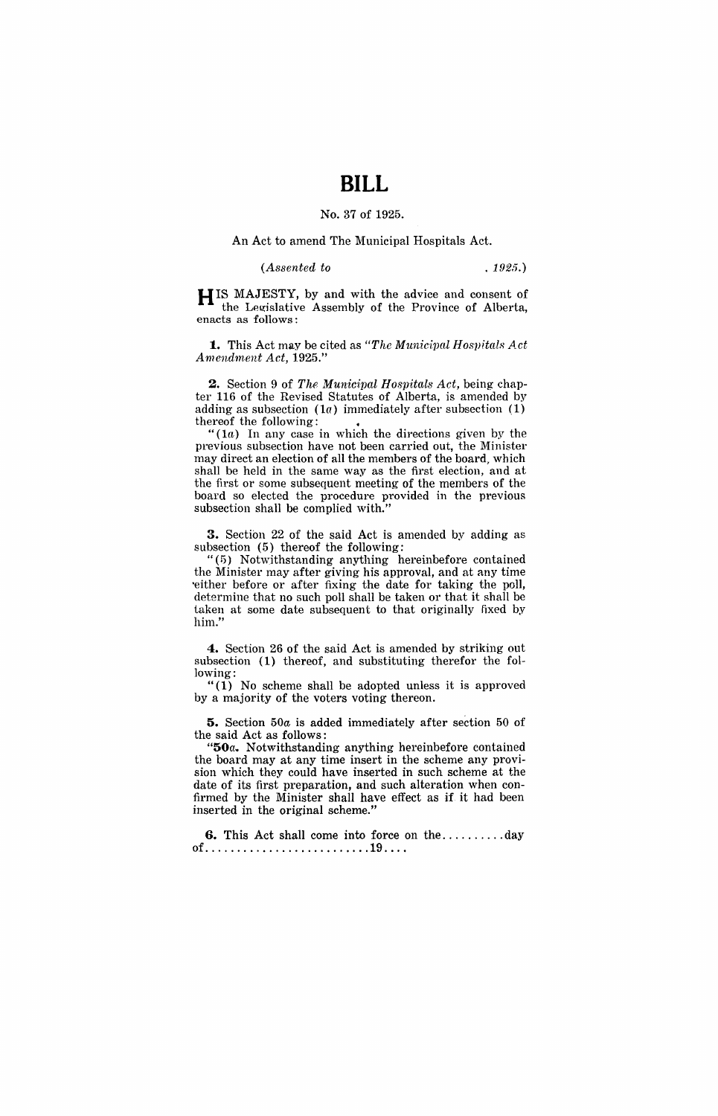# **BILL**

#### No. 37 of 1925.

#### An Act to amend The Municipal Hospitals Act.

#### *(Assented to* . 1925.)

H IS MAJESTY, by and with the advice and consent of the Legislative Assembly of the Province of Alberta, enacts as follows:

**1.** This Act may be cited as "The Municipal Hospitals Act *Amendment Act, 1925."* 

**2.** Section 9 of *The Municipal Hospitals Act*, being chapter 116 of the Revised Statutes of Alberta, is amended by adding as subsection  $(1a)$  immediately after subsection  $(1)$ thereof the following:

 $(1a)$  In any case in which the directions given by the previous subsection have not been carried out, the Minister may direct an election of all the members of the board, which shall be held in the same way as the first election, and at the first or some subsequent meeting of the members of the board so elected the procedure provided in the previous subsection shall be complied with.'

**3.** Section 22 of the said Act is amended by adding as subsection (5) thereof the following:

"(5) Notwithstanding anything hereinbefore contained the Minister may after giving his approval, and at any time 'either before or after fixing the date for taking the poll, determine that no such poll shall be taken or that it shall be taken at some date subsequent to that originally fixed by him."

**4.** Section 26 of the said Act is amended by striking out subsection (1) thereof, and substituting therefor the following:

" $(1)$  No scheme shall be adopted unless it is approved by a majority of the voters voting thereon.

**5.** Section *50a* is added immediately after section 50 of the said Act as follows:

"50a. Notwithstanding anything hereinbefore contained the board may at any time insert in the scheme any provision which they could have inserted in such scheme at the date of its first preparation, and such alteration when confirmed by the Minister shall have effect as if it had been inserted in the original scheme."

**6.** This Act shall come into force on the .......... day of .......................... 19 ... .